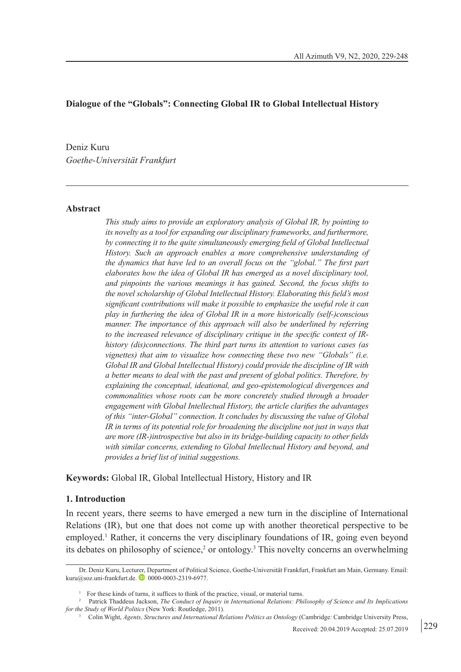## **Dialogue of the "Globals": Connecting Global IR to Global Intellectual History**

Deniz Kuru *Goethe-Universität Frankfurt*

#### **Abstract**

*This study aims to provide an exploratory analysis of Global IR, by pointing to its novelty as a tool for expanding our disciplinary frameworks, and furthermore, by connecting it to the quite simultaneously emerging field of Global Intellectual History. Such an approach enables a more comprehensive understanding of the dynamics that have led to an overall focus on the "global." The first part elaborates how the idea of Global IR has emerged as a novel disciplinary tool, and pinpoints the various meanings it has gained. Second, the focus shifts to the novel scholarship of Global Intellectual History. Elaborating this field's most significant contributions will make it possible to emphasize the useful role it can play in furthering the idea of Global IR in a more historically (self-)conscious manner. The importance of this approach will also be underlined by referring to the increased relevance of disciplinary critique in the specific context of IRhistory (dis)connections. The third part turns its attention to various cases (as vignettes) that aim to visualize how connecting these two new "Globals" (i.e. Global IR and Global Intellectual History) could provide the discipline of IR with a better means to deal with the past and present of global politics. Therefore, by explaining the conceptual, ideational, and geo-epistemological divergences and commonalities whose roots can be more concretely studied through a broader engagement with Global Intellectual History, the article clarifies the advantages of this "inter-Global" connection. It concludes by discussing the value of Global IR in terms of its potential role for broadening the discipline not just in ways that are more (IR-)introspective but also in its bridge-building capacity to other fields with similar concerns, extending to Global Intellectual History and beyond, and provides a brief list of initial suggestions.*

**Keywords:** Global IR, Global Intellectual History, History and IR

#### **1. Introduction**

In recent years, there seems to have emerged a new turn in the discipline of International Relations (IR), but one that does not come up with another theoretical perspective to be employed.<sup>1</sup> Rather, it concerns the very disciplinary foundations of IR, going even beyond its debates on philosophy of science,<sup>2</sup> or ontology.<sup>3</sup> This novelty concerns an overwhelming

Dr. Deniz Kuru, Lecturer, Department of Political Science, Goethe-Universität Frankfurt, Frankfurt am Main, Germany. Email: kuru@soz.uni-frankfurt.de. **0** 0000-0003-2319-6977.

<sup>&</sup>lt;sup>1</sup> For these kinds of turns, it suffices to think of the practice, visual, or material turns.

<sup>2</sup> Patrick Thaddeus Jackson, *The Conduct of Inquiry in International Relations: Philosophy of Science and Its Implications for the Study of World Politics* (New York: Routledge, 2011).

<sup>3</sup> Colin Wight, *Agents, Structures and International Relations Politics as Ontology* (Cambridge: Cambridge University Press,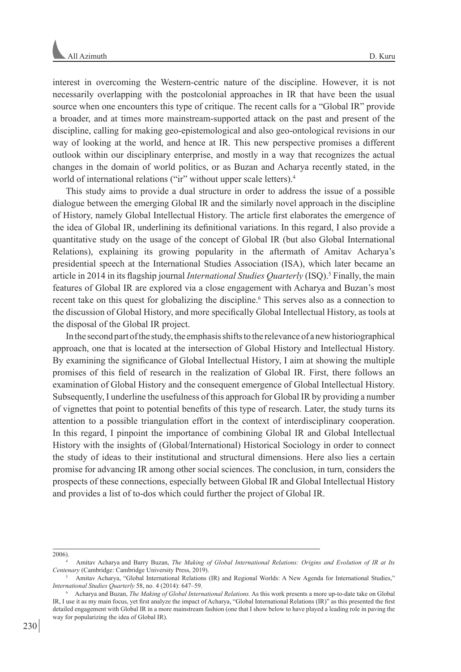interest in overcoming the Western-centric nature of the discipline. However, it is not necessarily overlapping with the postcolonial approaches in IR that have been the usual source when one encounters this type of critique. The recent calls for a "Global IR" provide a broader, and at times more mainstream-supported attack on the past and present of the discipline, calling for making geo-epistemological and also geo-ontological revisions in our way of looking at the world, and hence at IR. This new perspective promises a different outlook within our disciplinary enterprise, and mostly in a way that recognizes the actual changes in the domain of world politics, or as Buzan and Acharya recently stated, in the world of international relations ("ir" without upper scale letters).<sup>4</sup>

This study aims to provide a dual structure in order to address the issue of a possible dialogue between the emerging Global IR and the similarly novel approach in the discipline of History, namely Global Intellectual History. The article first elaborates the emergence of the idea of Global IR, underlining its definitional variations. In this regard, I also provide a quantitative study on the usage of the concept of Global IR (but also Global International Relations), explaining its growing popularity in the aftermath of Amitav Acharya's presidential speech at the International Studies Association (ISA), which later became an article in 2014 in its flagship journal *International Studies Quarterly* (ISQ).<sup>5</sup> Finally, the main features of Global IR are explored via a close engagement with Acharya and Buzan's most recent take on this quest for globalizing the discipline.<sup>6</sup> This serves also as a connection to the discussion of Global History, and more specifically Global Intellectual History, as tools at the disposal of the Global IR project.

In the second part of the study, the emphasis shifts to the relevance of a new historiographical approach, one that is located at the intersection of Global History and Intellectual History. By examining the significance of Global Intellectual History, I aim at showing the multiple promises of this field of research in the realization of Global IR. First, there follows an examination of Global History and the consequent emergence of Global Intellectual History. Subsequently, I underline the usefulness of this approach for Global IR by providing a number of vignettes that point to potential benefits of this type of research. Later, the study turns its attention to a possible triangulation effort in the context of interdisciplinary cooperation. In this regard, I pinpoint the importance of combining Global IR and Global Intellectual History with the insights of (Global/International) Historical Sociology in order to connect the study of ideas to their institutional and structural dimensions. Here also lies a certain promise for advancing IR among other social sciences. The conclusion, in turn, considers the prospects of these connections, especially between Global IR and Global Intellectual History and provides a list of to-dos which could further the project of Global IR.

<sup>2006). 4</sup> Amitav Acharya and Barry Buzan, *The Making of Global International Relations: Origins and Evolution of IR at Its Centenary* (Cambridge: Cambridge University Press, 2019).

<sup>5</sup> Amitav Acharya, "Global International Relations (IR) and Regional Worlds: A New Agenda for International Studies," *International Studies Quarterly* 58, no. 4 (2014): 647–59.

<sup>6</sup> Acharya and Buzan, *The Making of Global International Relations.* As this work presents a more up-to-date take on Global IR, I use it as my main focus, yet first analyze the impact of Acharya, "Global International Relations (IR)" as this presented the first detailed engagement with Global IR in a more mainstream fashion (one that I show below to have played a leading role in paving the way for popularizing the idea of Global IR).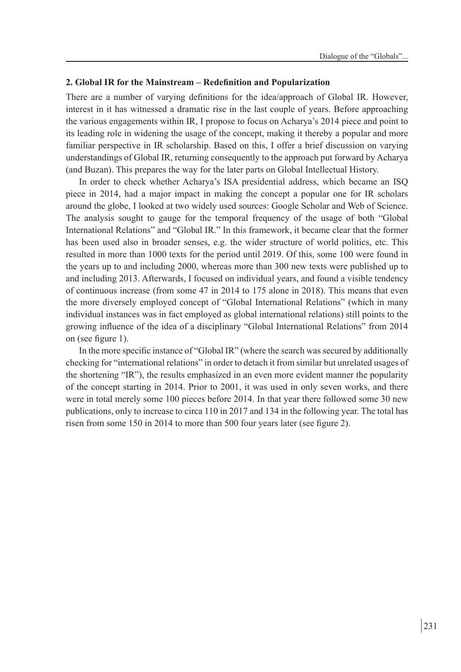### **2. Global IR for the Mainstream – Redefinition and Popularization**

There are a number of varying definitions for the idea/approach of Global IR. However, interest in it has witnessed a dramatic rise in the last couple of years. Before approaching the various engagements within IR, I propose to focus on Acharya's 2014 piece and point to its leading role in widening the usage of the concept, making it thereby a popular and more familiar perspective in IR scholarship. Based on this, I offer a brief discussion on varying understandings of Global IR, returning consequently to the approach put forward by Acharya (and Buzan). This prepares the way for the later parts on Global Intellectual History.

In order to check whether Acharya's ISA presidential address, which became an ISQ piece in 2014, had a major impact in making the concept a popular one for IR scholars around the globe, I looked at two widely used sources: Google Scholar and Web of Science. The analysis sought to gauge for the temporal frequency of the usage of both "Global International Relations" and "Global IR." In this framework, it became clear that the former has been used also in broader senses, e.g. the wider structure of world politics, etc. This resulted in more than 1000 texts for the period until 2019. Of this, some 100 were found in the years up to and including 2000, whereas more than 300 new texts were published up to and including 2013. Afterwards, I focused on individual years, and found a visible tendency of continuous increase (from some 47 in 2014 to 175 alone in 2018). This means that even the more diversely employed concept of "Global International Relations" (which in many individual instances was in fact employed as global international relations) still points to the growing influence of the idea of a disciplinary "Global International Relations" from 2014 on (see figure 1).

In the more specific instance of "Global IR" (where the search was secured by additionally checking for "international relations" in order to detach it from similar but unrelated usages of the shortening "IR"), the results emphasized in an even more evident manner the popularity of the concept starting in 2014. Prior to 2001, it was used in only seven works, and there were in total merely some 100 pieces before 2014. In that year there followed some 30 new publications, only to increase to circa 110 in 2017 and 134 in the following year. The total has risen from some 150 in 2014 to more than 500 four years later (see figure 2).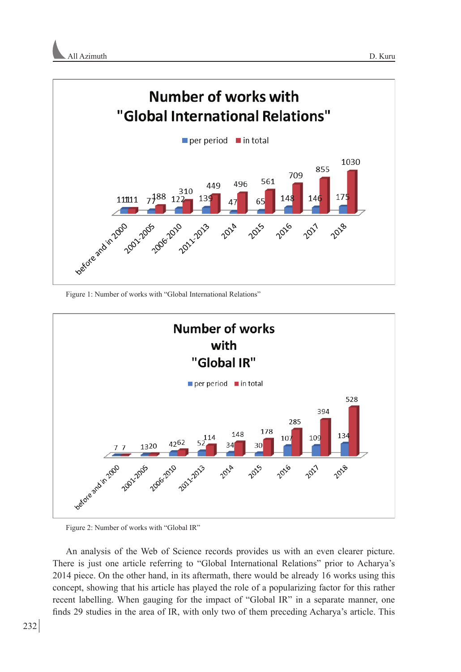



Figure 1: Number of works with "Global International Relations"



Figure 2: Number of works with "Global IR"

An analysis of the Web of Science records provides us with an even clearer picture. There is just one article referring to "Global International Relations" prior to Acharya's 2014 piece. On the other hand, in its aftermath, there would be already 16 works using this concept, showing that his article has played the role of a popularizing factor for this rather recent labelling. When gauging for the impact of "Global IR" in a separate manner, one finds 29 studies in the area of IR, with only two of them preceding Acharya's article. This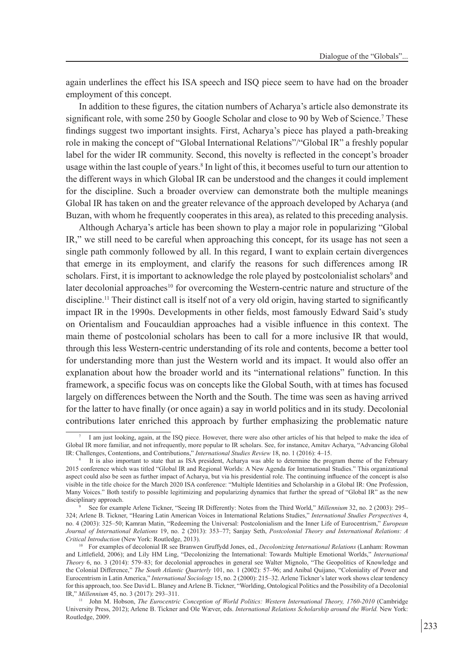again underlines the effect his ISA speech and ISQ piece seem to have had on the broader employment of this concept.

In addition to these figures, the citation numbers of Acharya's article also demonstrate its significant role, with some 250 by Google Scholar and close to 90 by Web of Science.<sup>7</sup> These findings suggest two important insights. First, Acharya's piece has played a path-breaking role in making the concept of "Global International Relations"/"Global IR" a freshly popular label for the wider IR community. Second, this novelty is reflected in the concept's broader usage within the last couple of years.<sup>8</sup> In light of this, it becomes useful to turn our attention to the different ways in which Global IR can be understood and the changes it could implement for the discipline. Such a broader overview can demonstrate both the multiple meanings Global IR has taken on and the greater relevance of the approach developed by Acharya (and Buzan, with whom he frequently cooperates in this area), as related to this preceding analysis.

Although Acharya's article has been shown to play a major role in popularizing "Global IR," we still need to be careful when approaching this concept, for its usage has not seen a single path commonly followed by all. In this regard, I want to explain certain divergences that emerge in its employment, and clarify the reasons for such differences among IR scholars. First, it is important to acknowledge the role played by postcolonialist scholars<sup>9</sup> and later decolonial approaches<sup>10</sup> for overcoming the Western-centric nature and structure of the discipline.<sup>11</sup> Their distinct call is itself not of a very old origin, having started to significantly impact IR in the 1990s. Developments in other fields, most famously Edward Said's study on Orientalism and Foucauldian approaches had a visible influence in this context. The main theme of postcolonial scholars has been to call for a more inclusive IR that would, through this less Western-centric understanding of its role and contents, become a better tool for understanding more than just the Western world and its impact. It would also offer an explanation about how the broader world and its "international relations" function. In this framework, a specific focus was on concepts like the Global South, with at times has focused largely on differences between the North and the South. The time was seen as having arrived for the latter to have finally (or once again) a say in world politics and in its study. Decolonial contributions later enriched this approach by further emphasizing the problematic nature

I am just looking, again, at the ISQ piece. However, there were also other articles of his that helped to make the idea of Global IR more familiar, and not infrequently, more popular to IR scholars. See, for instance, Amitav Acharya, "Advancing Global IR: Challenges, Contentions, and Contributions," *International Studies Review* 18, no. 1 (20

It is also important to state that as ISA president, Acharya was able to determine the program theme of the February 2015 conference which was titled "Global IR and Regional Worlds: A New Agenda for International Studies." This organizational aspect could also be seen as further impact of Acharya, but via his presidential role. The continuing influence of the concept is also visible in the title choice for the March 2020 ISA conference: "Multiple Identities and Scholarship in a Global IR: One Profession, Many Voices." Both testify to possible legitimizing and popularizing dynamics that further the spread of "Global IR" as the new disciplinary approach.

See for example Arlene Tickner, "Seeing IR Differently: Notes from the Third World," *Millennium* 32, no. 2 (2003): 295– 324; Arlene B. Tickner, "Hearing Latin American Voices in International Relations Studies," *International Studies Perspectives* 4, no. 4 (2003): 325–50; Kamran Matin, "Redeeming the Universal: Postcolonialism and the Inner Life of Eurocentrism," *European Journal of International Relations* 19, no. 2 (2013): 353–77; Sanjay Seth, *Postcolonial Theory and International Relations: A Critical Introduction* (New York: Routledge, 2013).

<sup>10</sup> For examples of decolonial IR see Branwen Gruffydd Jones, ed., *Decolonizing International Relations* (Lanham: Rowman and Littlefield, 2006); and Lily HM Ling, "Decolonizing the International: Towards Multiple Emotional Worlds," *International Theory* 6, no. 3 (2014): 579–83; for decolonial approaches in general see Walter Mignolo, "The Geopolitics of Knowledge and the Colonial Difference," *The South Atlantic Quarterly* 101, no. 1 (2002): 57–96; and Anibal Quijano, "Coloniality of Power and Eurocentrism in Latin America," *International Sociology* 15, no. 2 (2000): 215–32. Arlene Tickner's later work shows clear tendency for this approach, too. See David L. Blaney and Arlene B. Tickner, "Worlding, Ontological Politics and the Possibility of a Decolonial IR," *Millennium* 45, no. 3 (2017): 293–311.

<sup>&</sup>lt;sup>11</sup> John M. Hobson, *The Eurocentric Conception of World Politics: Western International Theory, 1760-2010 (Cambridge* University Press, 2012); Arlene B. Tickner and Ole Wæver, eds. *International Relations Scholarship around the World.* New York: Routledge, 2009.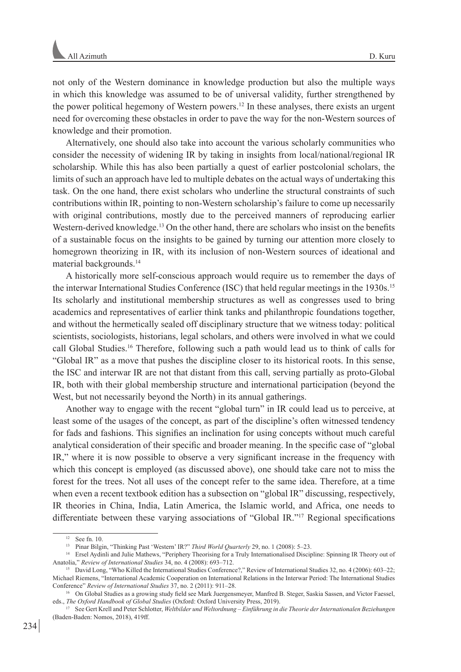not only of the Western dominance in knowledge production but also the multiple ways in which this knowledge was assumed to be of universal validity, further strengthened by the power political hegemony of Western powers.12 In these analyses, there exists an urgent need for overcoming these obstacles in order to pave the way for the non-Western sources of knowledge and their promotion.

Alternatively, one should also take into account the various scholarly communities who consider the necessity of widening IR by taking in insights from local/national/regional IR scholarship. While this has also been partially a quest of earlier postcolonial scholars, the limits of such an approach have led to multiple debates on the actual ways of undertaking this task. On the one hand, there exist scholars who underline the structural constraints of such contributions within IR, pointing to non-Western scholarship's failure to come up necessarily with original contributions, mostly due to the perceived manners of reproducing earlier Western-derived knowledge.<sup>13</sup> On the other hand, there are scholars who insist on the benefits of a sustainable focus on the insights to be gained by turning our attention more closely to homegrown theorizing in IR, with its inclusion of non-Western sources of ideational and material backgrounds.14

A historically more self-conscious approach would require us to remember the days of the interwar International Studies Conference (ISC) that held regular meetings in the 1930s.15 Its scholarly and institutional membership structures as well as congresses used to bring academics and representatives of earlier think tanks and philanthropic foundations together, and without the hermetically sealed off disciplinary structure that we witness today: political scientists, sociologists, historians, legal scholars, and others were involved in what we could call Global Studies.16 Therefore, following such a path would lead us to think of calls for "Global IR" as a move that pushes the discipline closer to its historical roots. In this sense, the ISC and interwar IR are not that distant from this call, serving partially as proto-Global IR, both with their global membership structure and international participation (beyond the West, but not necessarily beyond the North) in its annual gatherings.

Another way to engage with the recent "global turn" in IR could lead us to perceive, at least some of the usages of the concept, as part of the discipline's often witnessed tendency for fads and fashions. This signifies an inclination for using concepts without much careful analytical consideration of their specific and broader meaning. In the specific case of "global IR," where it is now possible to observe a very significant increase in the frequency with which this concept is employed (as discussed above), one should take care not to miss the forest for the trees. Not all uses of the concept refer to the same idea. Therefore, at a time when even a recent textbook edition has a subsection on "global IR" discussing, respectively, IR theories in China, India, Latin America, the Islamic world, and Africa, one needs to differentiate between these varying associations of "Global IR."17 Regional specifications

 $12$  See fn. 10.

<sup>13</sup> Pinar Bilgin, "Thinking Past 'Western' IR?" *Third World Quarterly* 29, no. 1 (2008): 5–23.

<sup>14</sup> Ersel Aydinli and Julie Mathews, "Periphery Theorising for a Truly Internationalised Discipline: Spinning IR Theory out of Anatolia," *Review of International Studies* 34, no. 4 (2008): 693–712.

<sup>15</sup> David Long, "Who Killed the International Studies Conference?," Review of International Studies 32, no. 4 (2006): 603–22; Michael Riemens, "International Academic Cooperation on International Relations in the Interwar Period: The International Studies Conference" *Review of International Studies* 37, no. 2 (2011): 911–28.

<sup>&</sup>lt;sup>16</sup> On Global Studies as a growing study field see Mark Juergensmeyer, Manfred B. Steger, Saskia Sassen, and Victor Faessel, eds., *The Oxford Handbook of Global Studies* (Oxford: Oxford University Press, 2019).

<sup>17</sup> See Gert Krell and Peter Schlotter, *Weltbilder und Weltordnung – Einführung in die Theorie der Internationalen Beziehungen* (Baden-Baden: Nomos, 2018), 419ff.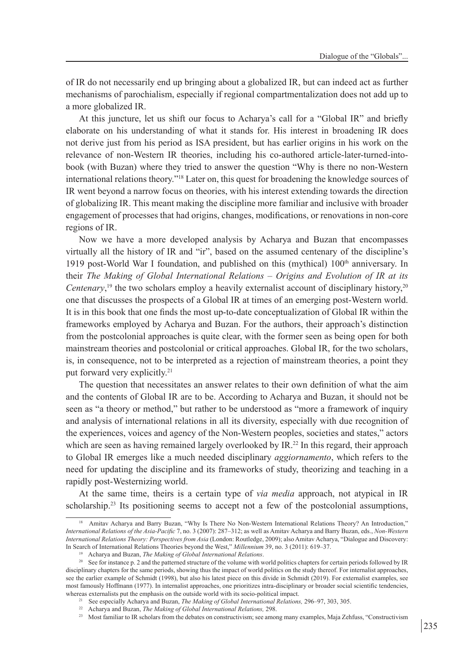of IR do not necessarily end up bringing about a globalized IR, but can indeed act as further mechanisms of parochialism, especially if regional compartmentalization does not add up to a more globalized IR.

At this juncture, let us shift our focus to Acharya's call for a "Global IR" and briefly elaborate on his understanding of what it stands for. His interest in broadening IR does not derive just from his period as ISA president, but has earlier origins in his work on the relevance of non-Western IR theories, including his co-authored article-later-turned-intobook (with Buzan) where they tried to answer the question "Why is there no non-Western international relations theory."18 Later on, this quest for broadening the knowledge sources of IR went beyond a narrow focus on theories, with his interest extending towards the direction of globalizing IR. This meant making the discipline more familiar and inclusive with broader engagement of processes that had origins, changes, modifications, or renovations in non-core regions of IR.

Now we have a more developed analysis by Acharya and Buzan that encompasses virtually all the history of IR and "ir", based on the assumed centenary of the discipline's 1919 post-World War I foundation, and published on this (mythical)  $100<sup>th</sup>$  anniversary. In their *The Making of Global International Relations – Origins and Evolution of IR at its Centenary*,<sup>19</sup> the two scholars employ a heavily externalist account of disciplinary history,<sup>20</sup> one that discusses the prospects of a Global IR at times of an emerging post-Western world. It is in this book that one finds the most up-to-date conceptualization of Global IR within the frameworks employed by Acharya and Buzan. For the authors, their approach's distinction from the postcolonial approaches is quite clear, with the former seen as being open for both mainstream theories and postcolonial or critical approaches. Global IR, for the two scholars, is, in consequence, not to be interpreted as a rejection of mainstream theories, a point they put forward very explicitly.21

The question that necessitates an answer relates to their own definition of what the aim and the contents of Global IR are to be. According to Acharya and Buzan, it should not be seen as "a theory or method," but rather to be understood as "more a framework of inquiry and analysis of international relations in all its diversity, especially with due recognition of the experiences, voices and agency of the Non-Western peoples, societies and states," actors which are seen as having remained largely overlooked by IR.<sup>22</sup> In this regard, their approach to Global IR emerges like a much needed disciplinary *aggiornamento*, which refers to the need for updating the discipline and its frameworks of study, theorizing and teaching in a rapidly post-Westernizing world.

At the same time, theirs is a certain type of *via media* approach, not atypical in IR scholarship.<sup>23</sup> Its positioning seems to accept not a few of the postcolonial assumptions,

<sup>&</sup>lt;sup>18</sup> Amitav Acharya and Barry Buzan, "Why Is There No Non-Western International Relations Theory? An Introduction," *International Relations of the Asia-Pacific* 7, no. 3 (2007): 287–312; as well as Amitav Acharya and Barry Buzan, eds., *Non-Western International Relations Theory: Perspectives from Asia* (London: Routledge, 2009); also Amitav Acharya, "Dialogue and Discovery: In Search of International Relations Theories beyond the West," *Millennium* 39, no. 3 (2011): 619–37.

<sup>19</sup> Acharya and Buzan, *The Making of Global International Relations*.

<sup>&</sup>lt;sup>20</sup> See for instance p. 2 and the patterned structure of the volume with world politics chapters for certain periods followed by IR disciplinary chapters for the same periods, showing thus the impact of world politics on the study thereof. For internalist approaches, see the earlier example of Schmidt (1998), but also his latest piece on this divide in Schmidt (2019). For externalist examples, see most famously Hoffmann (1977). In internalist approaches, one prioritizes intra-disciplinary or broader social scientific tendencies, whereas externalists put the emphasis on the outside world with its socio-political impact.

<sup>&</sup>lt;sup>21</sup> See especially Acharya and Buzan, *The Making of Global International Relations*, 296–97, 303, 305.

<sup>22</sup> Acharya and Buzan, *The Making of Global International Relations,* 298.

<sup>&</sup>lt;sup>23</sup> Most familiar to IR scholars from the debates on constructivism; see among many examples, Maja Zehfuss, "Constructivism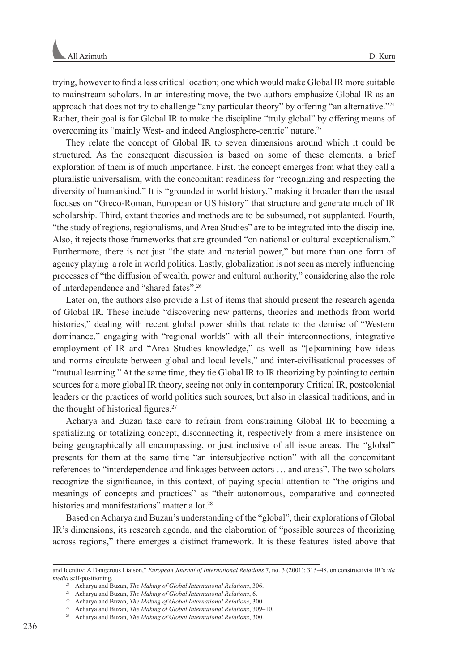trying, however to find a less critical location; one which would make Global IR more suitable to mainstream scholars. In an interesting move, the two authors emphasize Global IR as an approach that does not try to challenge "any particular theory" by offering "an alternative."24 Rather, their goal is for Global IR to make the discipline "truly global" by offering means of overcoming its "mainly West- and indeed Anglosphere-centric" nature.25

They relate the concept of Global IR to seven dimensions around which it could be structured. As the consequent discussion is based on some of these elements, a brief exploration of them is of much importance. First, the concept emerges from what they call a pluralistic universalism, with the concomitant readiness for "recognizing and respecting the diversity of humankind." It is "grounded in world history," making it broader than the usual focuses on "Greco-Roman, European or US history" that structure and generate much of IR scholarship. Third, extant theories and methods are to be subsumed, not supplanted. Fourth, "the study of regions, regionalisms, and Area Studies" are to be integrated into the discipline. Also, it rejects those frameworks that are grounded "on national or cultural exceptionalism." Furthermore, there is not just "the state and material power," but more than one form of agency playing a role in world politics. Lastly, globalization is not seen as merely influencing processes of "the diffusion of wealth, power and cultural authority," considering also the role of interdependence and "shared fates".26

Later on, the authors also provide a list of items that should present the research agenda of Global IR. These include "discovering new patterns, theories and methods from world histories," dealing with recent global power shifts that relate to the demise of "Western dominance," engaging with "regional worlds" with all their interconnections, integrative employment of IR and "Area Studies knowledge," as well as "[e]xamining how ideas and norms circulate between global and local levels," and inter-civilisational processes of "mutual learning." At the same time, they tie Global IR to IR theorizing by pointing to certain sources for a more global IR theory, seeing not only in contemporary Critical IR, postcolonial leaders or the practices of world politics such sources, but also in classical traditions, and in the thought of historical figures.<sup>27</sup>

Acharya and Buzan take care to refrain from constraining Global IR to becoming a spatializing or totalizing concept, disconnecting it, respectively from a mere insistence on being geographically all encompassing, or just inclusive of all issue areas. The "global" presents for them at the same time "an intersubjective notion" with all the concomitant references to "interdependence and linkages between actors … and areas". The two scholars recognize the significance, in this context, of paying special attention to "the origins and meanings of concepts and practices" as "their autonomous, comparative and connected histories and manifestations" matter a lot.<sup>28</sup>

Based on Acharya and Buzan's understanding of the "global", their explorations of Global IR's dimensions, its research agenda, and the elaboration of "possible sources of theorizing across regions," there emerges a distinct framework. It is these features listed above that

and Identity: A Dangerous Liaison," *European Journal of International Relations* 7, no. 3 (2001): 315–48, on constructivist IR's *via media* self-positioning.

<sup>24</sup> Acharya and Buzan, *The Making of Global International Relations*, 306.

<sup>25</sup> Acharya and Buzan, *The Making of Global International Relations*, 6.

<sup>26</sup> Acharya and Buzan, *The Making of Global International Relations*, 300.

<sup>27</sup> Acharya and Buzan, *The Making of Global International Relations*, 309–10.

<sup>28</sup> Acharya and Buzan, *The Making of Global International Relations*, 300.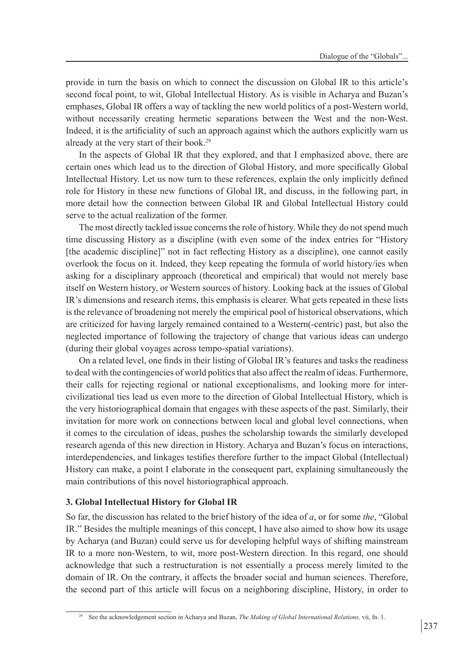provide in turn the basis on which to connect the discussion on Global IR to this article's second focal point, to wit, Global Intellectual History. As is visible in Acharya and Buzan's emphases, Global IR offers a way of tackling the new world politics of a post-Western world, without necessarily creating hermetic separations between the West and the non-West. Indeed, it is the artificiality of such an approach against which the authors explicitly warn us already at the very start of their book.29

In the aspects of Global IR that they explored, and that I emphasized above, there are certain ones which lead us to the direction of Global History, and more specifically Global Intellectual History. Let us now turn to these references, explain the only implicitly defined role for History in these new functions of Global IR, and discuss, in the following part, in more detail how the connection between Global IR and Global Intellectual History could serve to the actual realization of the former.

The most directly tackled issue concerns the role of history. While they do not spend much time discussing History as a discipline (with even some of the index entries for "History [the academic discipline]" not in fact reflecting History as a discipline), one cannot easily overlook the focus on it. Indeed, they keep repeating the formula of world history/ies when asking for a disciplinary approach (theoretical and empirical) that would not merely base itself on Western history, or Western sources of history. Looking back at the issues of Global IR's dimensions and research items, this emphasis is clearer. What gets repeated in these lists is the relevance of broadening not merely the empirical pool of historical observations, which are criticized for having largely remained contained to a Western(-centric) past, but also the neglected importance of following the trajectory of change that various ideas can undergo (during their global voyages across tempo-spatial variations).

On a related level, one finds in their listing of Global IR's features and tasks the readiness to deal with the contingencies of world politics that also affect the realm of ideas. Furthermore, their calls for rejecting regional or national exceptionalisms, and looking more for intercivilizational ties lead us even more to the direction of Global Intellectual History, which is the very historiographical domain that engages with these aspects of the past. Similarly, their invitation for more work on connections between local and global level connections, when it comes to the circulation of ideas, pushes the scholarship towards the similarly developed research agenda of this new direction in History. Acharya and Buzan's focus on interactions, interdependencies, and linkages testifies therefore further to the impact Global (Intellectual) History can make, a point I elaborate in the consequent part, explaining simultaneously the main contributions of this novel historiographical approach.

# **3. Global Intellectual History for Global IR**

So far, the discussion has related to the brief history of the idea of *a*, or for some *the*, "Global IR." Besides the multiple meanings of this concept, I have also aimed to show how its usage by Acharya (and Buzan) could serve us for developing helpful ways of shifting mainstream IR to a more non-Western, to wit, more post-Western direction. In this regard, one should acknowledge that such a restructuration is not essentially a process merely limited to the domain of IR. On the contrary, it affects the broader social and human sciences. Therefore, the second part of this article will focus on a neighboring discipline, History, in order to

<sup>29</sup> See the acknowledgement section in Acharya and Buzan, *The Making of Global International Relations,* vii, fn. 1.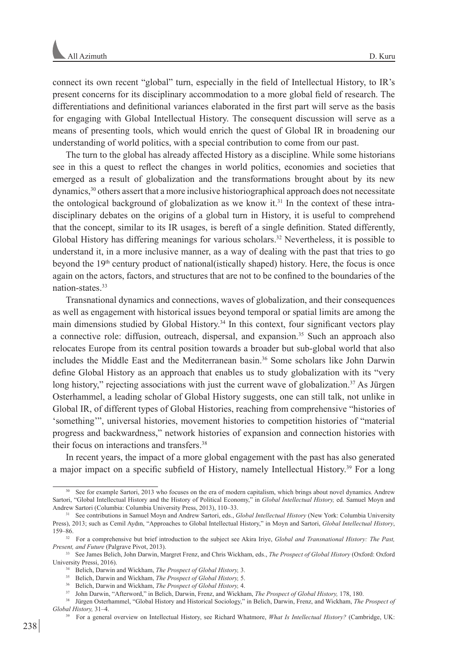connect its own recent "global" turn, especially in the field of Intellectual History, to IR's present concerns for its disciplinary accommodation to a more global field of research. The differentiations and definitional variances elaborated in the first part will serve as the basis for engaging with Global Intellectual History. The consequent discussion will serve as a means of presenting tools, which would enrich the quest of Global IR in broadening our understanding of world politics, with a special contribution to come from our past.

The turn to the global has already affected History as a discipline. While some historians see in this a quest to reflect the changes in world politics, economies and societies that emerged as a result of globalization and the transformations brought about by its new dynamics,<sup>30</sup> others assert that a more inclusive historiographical approach does not necessitate the ontological background of globalization as we know it.<sup>31</sup> In the context of these intradisciplinary debates on the origins of a global turn in History, it is useful to comprehend that the concept, similar to its IR usages, is bereft of a single definition. Stated differently, Global History has differing meanings for various scholars.<sup>32</sup> Nevertheless, it is possible to understand it, in a more inclusive manner, as a way of dealing with the past that tries to go beyond the  $19<sup>th</sup>$  century product of national (istically shaped) history. Here, the focus is once again on the actors, factors, and structures that are not to be confined to the boundaries of the nation-states.33

Transnational dynamics and connections, waves of globalization, and their consequences as well as engagement with historical issues beyond temporal or spatial limits are among the main dimensions studied by Global History.34 In this context, four significant vectors play a connective role: diffusion, outreach, dispersal, and expansion.35 Such an approach also relocates Europe from its central position towards a broader but sub-global world that also includes the Middle East and the Mediterranean basin.<sup>36</sup> Some scholars like John Darwin define Global History as an approach that enables us to study globalization with its "very long history," rejecting associations with just the current wave of globalization.<sup>37</sup> As Jürgen Osterhammel, a leading scholar of Global History suggests, one can still talk, not unlike in Global IR, of different types of Global Histories, reaching from comprehensive "histories of 'something'", universal histories, movement histories to competition histories of "material progress and backwardness," network histories of expansion and connection histories with their focus on interactions and transfers.38

In recent years, the impact of a more global engagement with the past has also generated a major impact on a specific subfield of History, namely Intellectual History.39 For a long

See for example Sartori, 2013 who focuses on the era of modern capitalism, which brings about novel dynamics. Andrew Sartori, "Global Intellectual History and the History of Political Economy," in *Global Intellectual History,* ed. Samuel Moyn and Andrew Sartori (Columbia: Columbia University Press, 2013), 110–33.

<sup>31</sup> See contributions in Samuel Moyn and Andrew Sartori, eds., *Global Intellectual History* (New York: Columbia University Press), 2013; such as Cemil Aydın, "Approaches to Global Intellectual History," in Moyn and Sartori, *Global Intellectual History*, 159–86.

<sup>&</sup>lt;sup>32</sup> For a comprehensive but brief introduction to the subject see Akira Iriye, *Global and Transnational History: The Past*, *Present, and Future* (Palgrave Pivot, 2013).

<sup>33</sup> See James Belich, John Darwin, Margret Frenz, and Chris Wickham, eds., *The Prospect of Global History* (Oxford: Oxford University Pressi, 2016). 34 Belich, Darwin and Wickham, *The Prospect of Global History,* 3.

<sup>35</sup> Belich, Darwin and Wickham, *The Prospect of Global History,* 5.

<sup>36</sup> Belich, Darwin and Wickham, *The Prospect of Global History,* 4.

<sup>&</sup>lt;sup>37</sup> John Darwin, "Afterword," in Belich, Darwin, Frenz, and Wickham, *The Prospect of Global History*, 178, 180.

<sup>38</sup> Jürgen Osterhammel, "Global History and Historical Sociology," in Belich, Darwin, Frenz, and Wickham, *The Prospect of Global History,* 31–4.

<sup>39</sup> For a general overview on Intellectual History, see Richard Whatmore, *What Is Intellectual History?* (Cambridge, UK: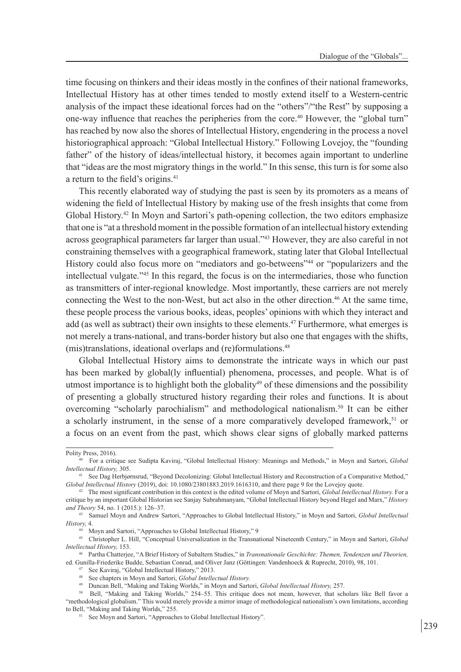time focusing on thinkers and their ideas mostly in the confines of their national frameworks, Intellectual History has at other times tended to mostly extend itself to a Western-centric analysis of the impact these ideational forces had on the "others"/"the Rest" by supposing a one-way influence that reaches the peripheries from the core.40 However, the "global turn" has reached by now also the shores of Intellectual History, engendering in the process a novel historiographical approach: "Global Intellectual History." Following Lovejoy, the "founding father" of the history of ideas/intellectual history, it becomes again important to underline that "ideas are the most migratory things in the world." In this sense, this turn is for some also a return to the field's origins.<sup>41</sup>

This recently elaborated way of studying the past is seen by its promoters as a means of widening the field of Intellectual History by making use of the fresh insights that come from Global History.42 In Moyn and Sartori's path-opening collection, the two editors emphasize that one is "at a threshold moment in the possible formation of an intellectual history extending across geographical parameters far larger than usual."43 However, they are also careful in not constraining themselves with a geographical framework, stating later that Global Intellectual History could also focus more on "mediators and go-betweens"<sup>44</sup> or "popularizers and the intellectual vulgate."45 In this regard, the focus is on the intermediaries, those who function as transmitters of inter-regional knowledge. Most importantly, these carriers are not merely connecting the West to the non-West, but act also in the other direction.46 At the same time, these people process the various books, ideas, peoples' opinions with which they interact and add (as well as subtract) their own insights to these elements.<sup>47</sup> Furthermore, what emerges is not merely a trans-national, and trans-border history but also one that engages with the shifts, (mis)translations, ideational overlaps and (re)formulations.<sup>48</sup>

Global Intellectual History aims to demonstrate the intricate ways in which our past has been marked by global(ly influential) phenomena, processes, and people. What is of utmost importance is to highlight both the globality<sup>49</sup> of these dimensions and the possibility of presenting a globally structured history regarding their roles and functions. It is about overcoming "scholarly parochialism" and methodological nationalism.50 It can be either a scholarly instrument, in the sense of a more comparatively developed framework, $51$  or a focus on an event from the past, which shows clear signs of globally marked patterns

Polity Press, 2016). 40 For a critique see Sudipta Kaviraj, "Global Intellectual History: Meanings and Methods," in Moyn and Sartori, *Global Intellectual History,* 305. 41 See Dag Herbjørnsrud, "Beyond Decolonizing: Global Intellectual History and Reconstruction of a Comparative Method,"

*Global Intellectual History* (2019), doi: 10.1080/23801883.2019.1616310, and there page 9 for the Lovejoy quote.

<sup>42</sup> The most significant contribution in this context is the edited volume of Moyn and Sartori, *Global Intellectual History.* For a critique by an important Global Historian see Sanjay Subrahmanyam, "Global Intellectual History beyond Hegel and Marx," *History and Theory* 54, no. 1 (2015.): 126–37.

<sup>43</sup> Samuel Moyn and Andrew Sartori, "Approaches to Global Intellectual History," in Moyn and Sartori, *Global Intellectual History,* 4.

<sup>44</sup> Moyn and Sartori, "Approaches to Global Intellectual History," 9

<sup>45</sup> Christopher L. Hill, "Conceptual Universalization in the Transnational Nineteenth Century," in Moyn and Sartori, *Global Intellectual History,* 153. 46 Partha Chatterjee, "A Brief History of Subaltern Studies," in *Transnationale Geschichte: Themen, Tendenzen und Theorien,* 

ed. Gunilla-Friederike Budde, Sebastian Conrad, and Oliver Janz (Göttingen: Vandenhoeck & Ruprecht, 2010), 98, 101.

<sup>47</sup> See Kaviraj, "Global Intellectual History," 2013.

<sup>48</sup> See chapters in Moyn and Sartori, *Global Intellectual History.* 

<sup>49</sup> Duncan Bell, "Making and Taking Worlds," in Moyn and Sartori, *Global Intellectual History,* 257.

<sup>50</sup> Bell, "Making and Taking Worlds," 254–55. This critique does not mean, however, that scholars like Bell favor a "methodological globalism." This would merely provide a mirror image of methodological nationalism's own limitations, according to Bell, "Making and Taking Worlds," 255.

<sup>&</sup>lt;sup>51</sup> See Moyn and Sartori, "Approaches to Global Intellectual History".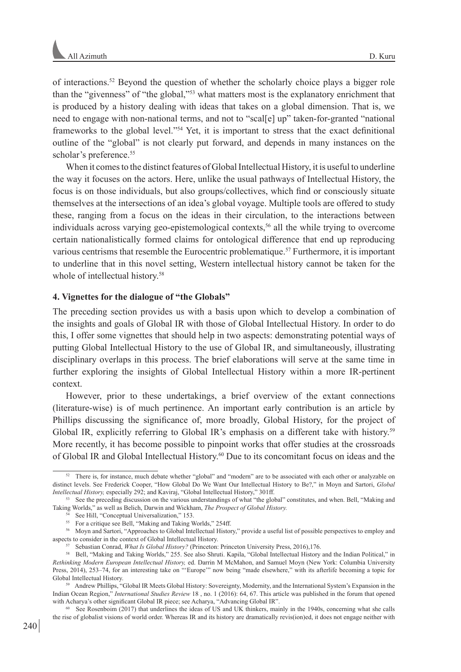of interactions.52 Beyond the question of whether the scholarly choice plays a bigger role than the "givenness" of "the global,"53 what matters most is the explanatory enrichment that is produced by a history dealing with ideas that takes on a global dimension. That is, we need to engage with non-national terms, and not to "scal[e] up" taken-for-granted "national frameworks to the global level."54 Yet, it is important to stress that the exact definitional outline of the "global" is not clearly put forward, and depends in many instances on the scholar's preference.<sup>55</sup>

When it comes to the distinct features of Global Intellectual History, it is useful to underline the way it focuses on the actors. Here, unlike the usual pathways of Intellectual History, the focus is on those individuals, but also groups/collectives, which find or consciously situate themselves at the intersections of an idea's global voyage. Multiple tools are offered to study these, ranging from a focus on the ideas in their circulation, to the interactions between individuals across varying geo-epistemological contexts,56 all the while trying to overcome certain nationalistically formed claims for ontological difference that end up reproducing various centrisms that resemble the Eurocentric problematique.57 Furthermore, it is important to underline that in this novel setting, Western intellectual history cannot be taken for the whole of intellectual history.<sup>58</sup>

# **4. Vignettes for the dialogue of "the Globals"**

The preceding section provides us with a basis upon which to develop a combination of the insights and goals of Global IR with those of Global Intellectual History. In order to do this, I offer some vignettes that should help in two aspects: demonstrating potential ways of putting Global Intellectual History to the use of Global IR, and simultaneously, illustrating disciplinary overlaps in this process. The brief elaborations will serve at the same time in further exploring the insights of Global Intellectual History within a more IR-pertinent context.

However, prior to these undertakings, a brief overview of the extant connections (literature-wise) is of much pertinence. An important early contribution is an article by Phillips discussing the significance of, more broadly, Global History, for the project of Global IR, explicitly referring to Global IR's emphasis on a different take with history.<sup>59</sup> More recently, it has become possible to pinpoint works that offer studies at the crossroads of Global IR and Global Intellectual History.60 Due to its concomitant focus on ideas and the

<sup>60</sup> See Rosenboim (2017) that underlines the ideas of US and UK thinkers, mainly in the 1940s, concerning what she calls the rise of globalist visions of world order. Whereas IR and its history are dramatically revis(ion)ed, it does not engage neither with

<sup>&</sup>lt;sup>52</sup> There is, for instance, much debate whether "global" and "modern" are to be associated with each other or analyzable on distinct levels. See Frederick Cooper, "How Global Do We Want Our Intellectual History to Be?," in Moyn and Sartori, *Global Intellectual History,* especially 292; and Kaviraj, "Global Intellectual History," 301ff.

<sup>53</sup> See the preceding discussion on the various understandings of what "the global" constitutes, and when. Bell, "Making and Taking Worlds," as well as Belich, Darwin and Wickham, *The Prospect of Global History.*

See Hill, "Conceptual Universalization," 153.

<sup>&</sup>lt;sup>55</sup> For a critique see Bell, "Making and Taking Worlds," 254ff.

<sup>56</sup> Moyn and Sartori, "Approaches to Global Intellectual History," provide a useful list of possible perspectives to employ and aspects to consider in the context of Global Intellectual History.

<sup>57</sup> Sebastian Conrad, *What Is Global History?* (Princeton: Princeton University Press, 2016),176.

<sup>58</sup> Bell, "Making and Taking Worlds," 255. See also Shruti. Kapila, "Global Intellectual History and the Indian Political," in *Rethinking Modern European Intellectual History,* ed. Darrin M McMahon, and Samuel Moyn (New York: Columbia University Press, 2014), 253–74, for an interesting take on "'Europe'" now being "made elsewhere," with its afterlife becoming a topic for Global Intellectual History.

<sup>59</sup> Andrew Phillips, "Global IR Meets Global History: Sovereignty, Modernity, and the International System's Expansion in the Indian Ocean Region," *International Studies Review* 18 , no. 1 (2016): 64, 67. This article was published in the forum that opened with Acharya's other significant Global IR piece; see Acharya, "Advancing Global IR".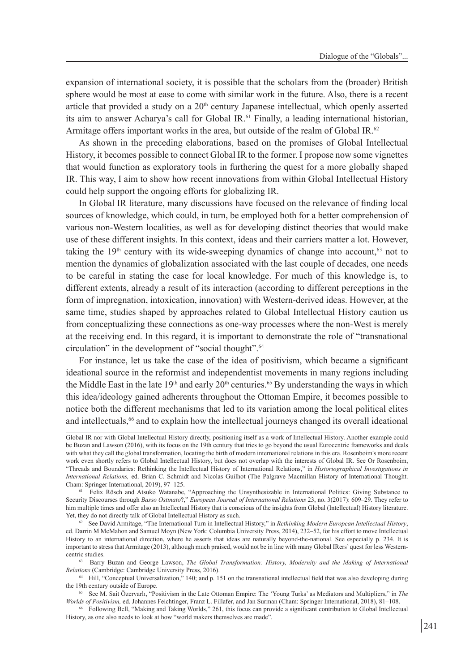expansion of international society, it is possible that the scholars from the (broader) British sphere would be most at ease to come with similar work in the future. Also, there is a recent article that provided a study on a  $20<sup>th</sup>$  century Japanese intellectual, which openly asserted its aim to answer Acharya's call for Global IR.61 Finally, a leading international historian, Armitage offers important works in the area, but outside of the realm of Global IR.<sup>62</sup>

As shown in the preceding elaborations, based on the promises of Global Intellectual History, it becomes possible to connect Global IR to the former. I propose now some vignettes that would function as exploratory tools in furthering the quest for a more globally shaped IR. This way, I aim to show how recent innovations from within Global Intellectual History could help support the ongoing efforts for globalizing IR.

In Global IR literature, many discussions have focused on the relevance of finding local sources of knowledge, which could, in turn, be employed both for a better comprehension of various non-Western localities, as well as for developing distinct theories that would make use of these different insights. In this context, ideas and their carriers matter a lot. However, taking the  $19<sup>th</sup>$  century with its wide-sweeping dynamics of change into account,<sup>63</sup> not to mention the dynamics of globalization associated with the last couple of decades, one needs to be careful in stating the case for local knowledge. For much of this knowledge is, to different extents, already a result of its interaction (according to different perceptions in the form of impregnation, intoxication, innovation) with Western-derived ideas. However, at the same time, studies shaped by approaches related to Global Intellectual History caution us from conceptualizing these connections as one-way processes where the non-West is merely at the receiving end. In this regard, it is important to demonstrate the role of "transnational circulation" in the development of "social thought".64

For instance, let us take the case of the idea of positivism, which became a significant ideational source in the reformist and independentist movements in many regions including the Middle East in the late 19<sup>th</sup> and early  $20<sup>th</sup>$  centuries.<sup>65</sup> By understanding the ways in which this idea/ideology gained adherents throughout the Ottoman Empire, it becomes possible to notice both the different mechanisms that led to its variation among the local political elites and intellectuals,<sup>66</sup> and to explain how the intellectual journeys changed its overall ideational

Global IR nor with Global Intellectual History directly, positioning itself as a work of Intellectual History. Another example could be Buzan and Lawson (2016), with its focus on the 19th century that tries to go beyond the usual Eurocentric frameworks and deals with what they call the global transformation, locating the birth of modern international relations in this era. Rosenboim's more recent work even shortly refers to Global Intellectual History, but does not overlap with the interests of Global IR. See Or Rosenboim, "Threads and Boundaries: Rethinking the Intellectual History of International Relations," in *Historiographical Investigations in International Relations,* ed. Brian C. Schmidt and Nicolas Guilhot (The Palgrave Macmillan History of International Thought. Cham: Springer International, 2019), 97–125.

<sup>&</sup>lt;sup>61</sup> Felix Rösch and Atsuko Watanabe, "Approaching the Unsynthesizable in International Politics: Giving Substance to Security Discourses through *Basso Ostinato*?," *European Journal of International Relations* 23, no. 3(2017): 609–29. They refer to him multiple times and offer also an Intellectual History that is conscious of the insights from Global (Intellectual) History literature. Yet, they do not directly talk of Global Intellectual History as such.

<sup>62</sup> See David Armitage, "The International Turn in Intellectual History," in *Rethinking Modern European Intellectual History*, ed. Darrin M McMahon and Samuel Moyn (New York: Columbia University Press, 2014), 232–52, for his effort to move Intellectual History to an international direction, where he asserts that ideas are naturally beyond-the-national. See especially p. 234. It is important to stress that Armitage (2013), although much praised, would not be in line with many Global IRers' quest for less Westerncentric studies.

<sup>63</sup> Barry Buzan and George Lawson, *The Global Transformation: History, Modernity and the Making of International Relations* (Cambridge: Cambridge University Press, 2016).

<sup>64</sup> Hill, "Conceptual Universalization," 140; and p. 151 on the transnational intellectual field that was also developing during the 19th century outside of Europe.

<sup>65</sup> See M. Sait Özervarlı, "Positivism in the Late Ottoman Empire: The 'Young Turks' as Mediators and Multipliers," in *The Worlds of Positivism,* ed. Johannes Feichtinger, Franz L. Fillafer, and Jan Surman (Cham: Springer International, 2018), 81–108.

<sup>66</sup> Following Bell, "Making and Taking Worlds," 261, this focus can provide a significant contribution to Global Intellectual History, as one also needs to look at how "world makers themselves are made".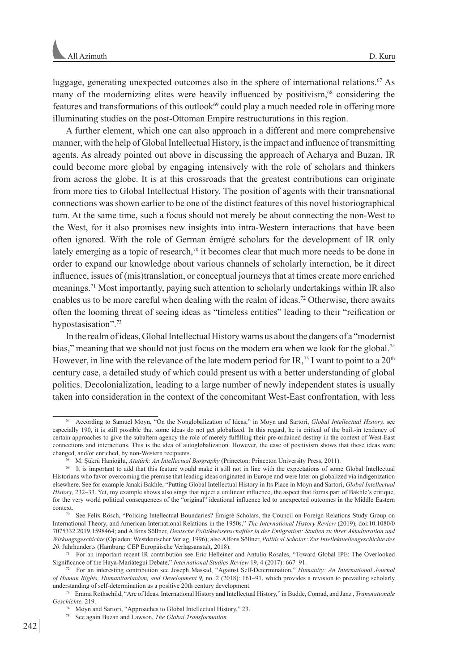luggage, generating unexpected outcomes also in the sphere of international relations.<sup>67</sup> As many of the modernizing elites were heavily influenced by positivism,<sup>68</sup> considering the features and transformations of this outlook<sup>69</sup> could play a much needed role in offering more illuminating studies on the post-Ottoman Empire restructurations in this region.

A further element, which one can also approach in a different and more comprehensive manner, with the help of Global Intellectual History, is the impact and influence of transmitting agents. As already pointed out above in discussing the approach of Acharya and Buzan, IR could become more global by engaging intensively with the role of scholars and thinkers from across the globe. It is at this crossroads that the greatest contributions can originate from more ties to Global Intellectual History. The position of agents with their transnational connections was shown earlier to be one of the distinct features of this novel historiographical turn. At the same time, such a focus should not merely be about connecting the non-West to the West, for it also promises new insights into intra-Western interactions that have been often ignored. With the role of German émigré scholars for the development of IR only lately emerging as a topic of research,<sup>70</sup> it becomes clear that much more needs to be done in order to expand our knowledge about various channels of scholarly interaction, be it direct influence, issues of (mis)translation, or conceptual journeys that at times create more enriched meanings.<sup>71</sup> Most importantly, paying such attention to scholarly undertakings within IR also enables us to be more careful when dealing with the realm of ideas.<sup>72</sup> Otherwise, there awaits often the looming threat of seeing ideas as "timeless entities" leading to their "reification or hypostasisation".<sup>73</sup>

In the realm of ideas, Global Intellectual History warns us about the dangers of a "modernist bias," meaning that we should not just focus on the modern era when we look for the global.<sup>74</sup> However, in line with the relevance of the late modern period for IR,<sup>75</sup> I want to point to a  $20<sup>th</sup>$ century case, a detailed study of which could present us with a better understanding of global politics. Decolonialization, leading to a large number of newly independent states is usually taken into consideration in the context of the concomitant West-East confrontation, with less

<sup>67</sup> According to Samuel Moyn, "On the Nonglobalization of Ideas," in Moyn and Sartori, *Global Intellectual History,* see especially 190, it is still possible that some ideas do not get globalized. In this regard, he is critical of the built-in tendency of certain approaches to give the subaltern agency the role of merely fulfilling their pre-ordained destiny in the context of West-East connections and interactions. This is the idea of autoglobalization. However, the case of positivism shows that these ideas were changed, and/or enriched, by non-Western recipients.

M. Şükrü Hanioğlu, Atatürk: An Intellectual Biography (Princeton: Princeton University Press, 2011).

<sup>69</sup> It is important to add that this feature would make it still not in line with the expectations of some Global Intellectual Historians who favor overcoming the premise that leading ideas originated in Europe and were later on globalized via indigenization elsewhere. See for example Janaki Bakhle, "Putting Global Intellectual History in Its Place in Moyn and Sartori, *Global Intellectual History,* 232–33. Yet, my example shows also sings that reject a unilinear influence, the aspect that forms part of Bakhle's critique, for the very world political consequences of the "original" ideational influence led to unexpected outcomes in the Middle Eastern context.

<sup>70</sup> See Felix Rösch, "Policing Intellectual Boundaries? Émigré Scholars, the Council on Foreign Relations Study Group on International Theory, and American International Relations in the 1950s," *The International History Review* (2019), doi:10.1080/0 7075332.2019.1598464; and Alfons Söllner, *Deutsche Politikwissenschaftler in der Emigration: Studien zu ihrer Akkulturation und Wirkungsgeschichte* (Opladen: Westdeutscher Verlag, 1996); also Alfons Söllner, *Political Scholar: Zur Intellektuellengeschichte des 20*. Jahrhunderts (Hamburg: CEP Europäische Verlagsanstalt, 2018).

<sup>71</sup> For an important recent IR contribution see Eric Helleiner and Antulio Rosales, "Toward Global IPE: The Overlooked Significance of the Haya-Mariátegui Debate," *International Studies Review* 19, 4 (2017): 667–91.

<sup>72</sup> For an interesting contribution see Joseph Massad, "Against Self-Determination," *Humanity: An International Journal of Human Rights, Humanitarianism, and Development 9,* no. 2 (2018): 161–91, which provides a revision to prevailing scholarly understanding of self-determination as a positive 20th century development.

<sup>73</sup> Emma Rothschild, "Arc of Ideas. International History and Intellectual History," in Budde, Conrad, and Janz , *Transnationale Geschichte,* 219.

<sup>74</sup> Moyn and Sartori, "Approaches to Global Intellectual History," 23.

<sup>75</sup> See again Buzan and Lawson, *The Global Transformation.*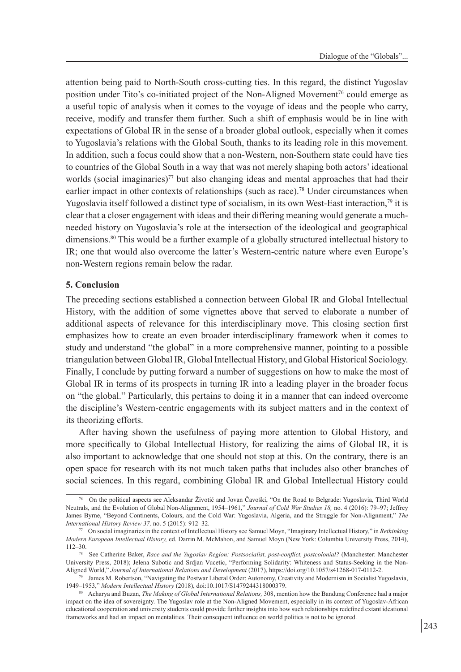attention being paid to North-South cross-cutting ties. In this regard, the distinct Yugoslav position under Tito's co-initiated project of the Non-Aligned Movement<sup>76</sup> could emerge as a useful topic of analysis when it comes to the voyage of ideas and the people who carry, receive, modify and transfer them further. Such a shift of emphasis would be in line with expectations of Global IR in the sense of a broader global outlook, especially when it comes to Yugoslavia's relations with the Global South, thanks to its leading role in this movement. In addition, such a focus could show that a non-Western, non-Southern state could have ties to countries of the Global South in a way that was not merely shaping both actors' ideational worlds (social imaginaries)<sup>77</sup> but also changing ideas and mental approaches that had their earlier impact in other contexts of relationships (such as race).<sup>78</sup> Under circumstances when Yugoslavia itself followed a distinct type of socialism, in its own West-East interaction,<sup>79</sup> it is clear that a closer engagement with ideas and their differing meaning would generate a muchneeded history on Yugoslavia's role at the intersection of the ideological and geographical dimensions.80 This would be a further example of a globally structured intellectual history to IR; one that would also overcome the latter's Western-centric nature where even Europe's non-Western regions remain below the radar.

### **5. Conclusion**

The preceding sections established a connection between Global IR and Global Intellectual History, with the addition of some vignettes above that served to elaborate a number of additional aspects of relevance for this interdisciplinary move. This closing section first emphasizes how to create an even broader interdisciplinary framework when it comes to study and understand "the global" in a more comprehensive manner, pointing to a possible triangulation between Global IR, Global Intellectual History, and Global Historical Sociology. Finally, I conclude by putting forward a number of suggestions on how to make the most of Global IR in terms of its prospects in turning IR into a leading player in the broader focus on "the global." Particularly, this pertains to doing it in a manner that can indeed overcome the discipline's Western-centric engagements with its subject matters and in the context of its theorizing efforts.

After having shown the usefulness of paying more attention to Global History, and more specifically to Global Intellectual History, for realizing the aims of Global IR, it is also important to acknowledge that one should not stop at this. On the contrary, there is an open space for research with its not much taken paths that includes also other branches of social sciences. In this regard, combining Global IR and Global Intellectual History could

<sup>76</sup> On the political aspects see Aleksandar Životić and Jovan Čavoški, "On the Road to Belgrade: Yugoslavia, Third World Neutrals, and the Evolution of Global Non-Alignment, 1954–1961," *Journal of Cold War Studies 18,* no. 4 (2016): 79–97; Jeffrey James Byrne, "Beyond Continents, Colours, and the Cold War: Yugoslavia, Algeria, and the Struggle for Non-Alignment," *The International History Review 37,* no. 5 (2015): 912–32.

<sup>77</sup> On social imaginaries in the context of Intellectual History see Samuel Moyn, "Imaginary Intellectual History," in *Rethinking Modern European Intellectual History,* ed. Darrin M. McMahon, and Samuel Moyn (New York: Columbia University Press, 2014), 112–30.

<sup>&</sup>lt;sup>8</sup> See Catherine Baker, *Race and the Yugoslav Region: Postsocialist, post-conflict, postcolonial?* (Manchester: Manchester University Press, 2018); Jelena Subotic and Srdjan Vucetic, "Performing Solidarity: Whiteness and Status-Seeking in the Non-Aligned World," *Journal of International Relations and Development* (2017), https://doi.org/10.1057/s41268-017-0112-2.

<sup>79</sup> James M. Robertson, "Navigating the Postwar Liberal Order: Autonomy, Creativity and Modernism in Socialist Yugoslavia, 1949–1953," *Modern Intellectual History* (2018), doi:10.1017/S1479244318000379. 80 Acharya and Buzan, *The Making of Global International Relations,* 308, mention how the Bandung Conference had a major

impact on the idea of sovereignty. The Yugoslav role at the Non-Aligned Movement, especially in its context of Yugoslav-African educational cooperation and university students could provide further insights into how such relationships redefined extant ideational frameworks and had an impact on mentalities. Their consequent influence on world politics is not to be ignored.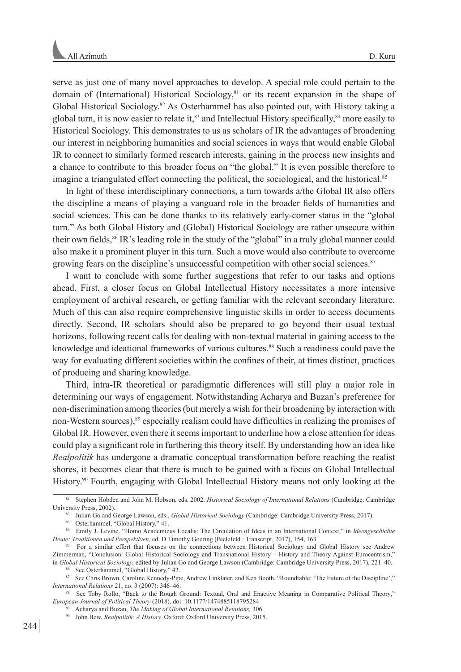serve as just one of many novel approaches to develop. A special role could pertain to the domain of (International) Historical Sociology, ${}^{81}$  or its recent expansion in the shape of Global Historical Sociology.<sup>82</sup> As Osterhammel has also pointed out, with History taking a global turn, it is now easier to relate it, $83$  and Intellectual History specifically, $84$  more easily to Historical Sociology. This demonstrates to us as scholars of IR the advantages of broadening our interest in neighboring humanities and social sciences in ways that would enable Global IR to connect to similarly formed research interests, gaining in the process new insights and a chance to contribute to this broader focus on "the global." It is even possible therefore to imagine a triangulated effort connecting the political, the sociological, and the historical.<sup>85</sup>

In light of these interdisciplinary connections, a turn towards a/the Global IR also offers the discipline a means of playing a vanguard role in the broader fields of humanities and social sciences. This can be done thanks to its relatively early-comer status in the "global turn." As both Global History and (Global) Historical Sociology are rather unsecure within their own fields,<sup>86</sup> IR's leading role in the study of the "global" in a truly global manner could also make it a prominent player in this turn. Such a move would also contribute to overcome growing fears on the discipline's unsuccessful competition with other social sciences.87

I want to conclude with some further suggestions that refer to our tasks and options ahead. First, a closer focus on Global Intellectual History necessitates a more intensive employment of archival research, or getting familiar with the relevant secondary literature. Much of this can also require comprehensive linguistic skills in order to access documents directly. Second, IR scholars should also be prepared to go beyond their usual textual horizons, following recent calls for dealing with non-textual material in gaining access to the knowledge and ideational frameworks of various cultures.88 Such a readiness could pave the way for evaluating different societies within the confines of their, at times distinct, practices of producing and sharing knowledge.

Third, intra-IR theoretical or paradigmatic differences will still play a major role in determining our ways of engagement. Notwithstanding Acharya and Buzan's preference for non-discrimination among theories (but merely a wish for their broadening by interaction with non-Western sources),<sup>89</sup> especially realism could have difficulties in realizing the promises of Global IR. However, even there it seems important to underline how a close attention for ideas could play a significant role in furthering this theory itself. By understanding how an idea like *Realpolitik* has undergone a dramatic conceptual transformation before reaching the realist shores, it becomes clear that there is much to be gained with a focus on Global Intellectual History.90 Fourth, engaging with Global Intellectual History means not only looking at the

<sup>81</sup> Stephen Hobden and John M. Hobson, eds. 2002. *Historical Sociology of International Relations* (Cambridge: Cambridge University Press, 2002). 82 Julian Go and George Lawson, eds., *Global Historical Sociology* (Cambridge: Cambridge University Press, 2017).

<sup>83</sup> Osterhammel, "Global History," 41.

<sup>84</sup> Emily J. Levine, "Homo Academicus Localis: The Circulation of Ideas in an International Context," in *Ideengeschichte Heute: Traditionen und Perspektiven,* ed. D.Timothy Goering (Bielefeld : Transcript, 2017), 154, 163.

<sup>85</sup> For a similar effort that focuses on the connections between Historical Sociology and Global History see Andrew Zimmerman, "Conclusion: Global Historical Sociology and Transnational History – History and Theory Against Eurocentrism," in *Global Historical Sociology,* edited by Julian Go and George Lawson (Cambridge: Cambridge University Press, 2017), 221–40.

<sup>&</sup>lt;sup>5</sup> See Osterhammel, "Global History," 42.

<sup>87</sup> See Chris Brown, Caroline Kennedy-Pipe, Andrew Linklater, and Ken Booth, "Roundtable: 'The Future of the Discipline'," *International Relations* 21, no. 3 (2007): 346–46.

<sup>88</sup> See Toby Rollo, "Back to the Rough Ground: Textual, Oral and Enactive Meaning in Comparative Political Theory," *European Journal of Political Theory* (2018), doi: 10.1177/1474885118795284

<sup>89</sup> Acharya and Buzan, *The Making of Global International Relations,* 306.

<sup>90</sup> John Bew, *Realpolitik: A History.* Oxford: Oxford University Press, 2015.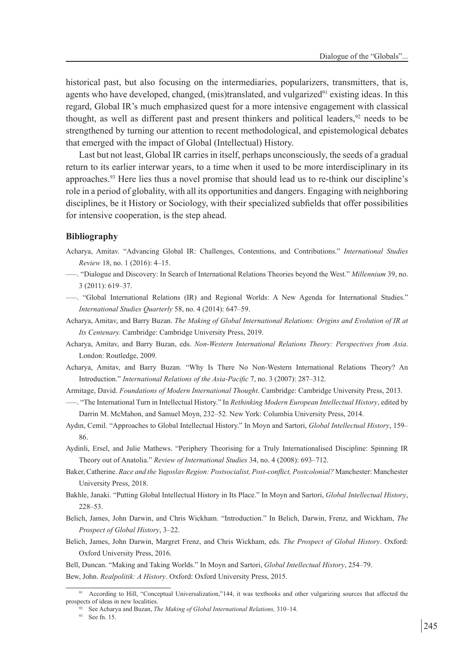historical past, but also focusing on the intermediaries, popularizers, transmitters, that is, agents who have developed, changed, (mis)translated, and vulgarized $91$  existing ideas. In this regard, Global IR's much emphasized quest for a more intensive engagement with classical thought, as well as different past and present thinkers and political leaders, $92$  needs to be strengthened by turning our attention to recent methodological, and epistemological debates that emerged with the impact of Global (Intellectual) History.

Last but not least, Global IR carries in itself, perhaps unconsciously, the seeds of a gradual return to its earlier interwar years, to a time when it used to be more interdisciplinary in its approaches.93 Here lies thus a novel promise that should lead us to re-think our discipline's role in a period of globality, with all its opportunities and dangers. Engaging with neighboring disciplines, be it History or Sociology, with their specialized subfields that offer possibilities for intensive cooperation, is the step ahead.

#### **Bibliography**

- Acharya, Amitav. "Advancing Global IR: Challenges, Contentions, and Contributions." *International Studies Review* 18, no. 1 (2016): 4–15.
- –––. "Dialogue and Discovery: In Search of International Relations Theories beyond the West." *Millennium* 39, no. 3 (2011): 619–37.
- –––. "Global International Relations (IR) and Regional Worlds: A New Agenda for International Studies." *International Studies Quarterly* 58, no. 4 (2014): 647–59.
- Acharya, Amitav, and Barry Buzan. *The Making of Global International Relations: Origins and Evolution of IR at Its Centenary.* Cambridge: Cambridge University Press, 2019.
- Acharya, Amitav, and Barry Buzan, eds. *Non-Western International Relations Theory: Perspectives from Asia*. London: Routledge, 2009.
- Acharya, Amitav, and Barry Buzan. "Why Is There No Non-Western International Relations Theory? An Introduction." *International Relations of the Asia-Pacific* 7, no. 3 (2007): 287–312.
- Armitage, David. *Foundations of Modern International Thought*. Cambridge: Cambridge University Press, 2013. –––. "The International Turn in Intellectual History." In *Rethinking Modern European Intellectual History*, edited by

Darrin M. McMahon, and Samuel Moyn, 232–52. New York: Columbia University Press, 2014.

- Aydın, Cemil. "Approaches to Global Intellectual History." In Moyn and Sartori, *Global Intellectual History*, 159– 86.
- Aydinli, Ersel, and Julie Mathews. "Periphery Theorising for a Truly Internationalised Discipline: Spinning IR Theory out of Anatolia." *Review of International Studies* 34, no. 4 (2008): 693–712.
- Baker, Catherine. *Race and the Yugoslav Region: Postsocialist, Post-conflict, Postcolonial?* Manchester: Manchester University Press, 2018.
- Bakhle, Janaki. "Putting Global Intellectual History in Its Place." In Moyn and Sartori, *Global Intellectual History*, 228–53.
- Belich, James, John Darwin, and Chris Wickham. "Introduction." In Belich, Darwin, Frenz, and Wickham, *The Prospect of Global History*, 3–22.
- Belich, James, John Darwin, Margret Frenz, and Chris Wickham, eds. *The Prospect of Global History*. Oxford: Oxford University Press, 2016.

Bell, Duncan. "Making and Taking Worlds." In Moyn and Sartori, *Global Intellectual History*, 254–79. Bew, John. *Realpolitik: A History*. Oxford: Oxford University Press, 2015.

<sup>&</sup>lt;sup>91</sup> According to Hill, "Conceptual Universalization,"144, it was textbooks and other vulgarizing sources that affected the prospects of ideas in new localities.

<sup>92</sup> See Acharya and Buzan, *The Making of Global International Relations,* 310–14.

<sup>93</sup> See fn. 15.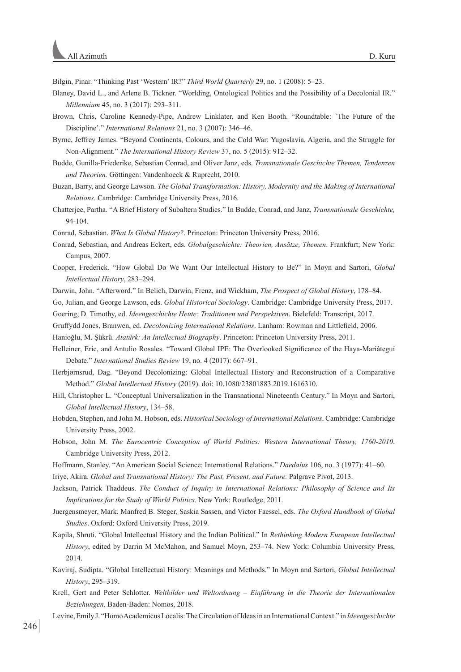Bilgin, Pinar. "Thinking Past 'Western' IR?" *Third World Quarterly* 29, no. 1 (2008): 5–23.

- Blaney, David L., and Arlene B. Tickner. "Worlding, Ontological Politics and the Possibility of a Decolonial IR." *Millennium* 45, no. 3 (2017): 293–311.
- Brown, Chris, Caroline Kennedy-Pipe, Andrew Linklater, and Ken Booth. "Roundtable: `The Future of the Discipline'." *International Relations* 21, no. 3 (2007): 346–46.
- Byrne, Jeffrey James. "Beyond Continents, Colours, and the Cold War: Yugoslavia, Algeria, and the Struggle for Non-Alignment." *The International History Review* 37, no. 5 (2015): 912–32.
- Budde, Gunilla-Friederike, Sebastian Conrad, and Oliver Janz, eds. *Transnationale Geschichte Themen, Tendenzen und Theorien.* Göttingen: Vandenhoeck & Ruprecht, 2010.
- Buzan, Barry, and George Lawson. *The Global Transformation: History, Modernity and the Making of International Relations*. Cambridge: Cambridge University Press, 2016.
- Chatterjee, Partha. "A Brief History of Subaltern Studies." In Budde, Conrad, and Janz, *Transnationale Geschichte,*  94-104.

Conrad, Sebastian. *What Is Global History?*. Princeton: Princeton University Press, 2016.

- Conrad, Sebastian, and Andreas Eckert, eds. *Globalgeschichte: Theorien, Ansätze, Themen*. Frankfurt; New York: Campus, 2007.
- Cooper, Frederick. "How Global Do We Want Our Intellectual History to Be?" In Moyn and Sartori, *Global Intellectual History*, 283–294.
- Darwin, John. "Afterword." In Belich, Darwin, Frenz, and Wickham, *The Prospect of Global History*, 178–84.
- Go, Julian, and George Lawson, eds. *Global Historical Sociology*. Cambridge: Cambridge University Press, 2017.
- Goering, D. Timothy, ed. *Ideengeschichte Heute: Traditionen und Perspektiven*. Bielefeld: Transcript, 2017.
- Gruffydd Jones, Branwen, ed. *Decolonizing International Relations*. Lanham: Rowman and Littlefield, 2006.
- Hanioğlu, M. Şükrü. *Atatürk: An Intellectual Biography*. Princeton: Princeton University Press, 2011.
- Helleiner, Eric, and Antulio Rosales. "Toward Global IPE: The Overlooked Significance of the Haya-Mariátegui Debate." *International Studies Review* 19, no. 4 (2017): 667–91.
- Herbjørnsrud, Dag. "Beyond Decolonizing: Global Intellectual History and Reconstruction of a Comparative Method." *Global Intellectual History* (2019). doi: 10.1080/23801883.2019.1616310.
- Hill, Christopher L. "Conceptual Universalization in the Transnational Nineteenth Century." In Moyn and Sartori, *Global Intellectual History*, 134–58.
- Hobden, Stephen, and John M. Hobson, eds. *Historical Sociology of International Relations*. Cambridge: Cambridge University Press, 2002.
- Hobson, John M. *The Eurocentric Conception of World Politics: Western International Theory, 1760-2010*. Cambridge University Press, 2012.
- Hoffmann, Stanley. "An American Social Science: International Relations." *Daedalus* 106, no. 3 (1977): 41–60.

Iriye, Akira. *Global and Transnational History: The Past, Present, and Future.* Palgrave Pivot, 2013.

- Jackson, Patrick Thaddeus. *The Conduct of Inquiry in International Relations: Philosophy of Science and Its Implications for the Study of World Politics*. New York: Routledge, 2011.
- Juergensmeyer, Mark, Manfred B. Steger, Saskia Sassen, and Victor Faessel, eds. *The Oxford Handbook of Global Studies*. Oxford: Oxford University Press, 2019.
- Kapila, Shruti. "Global Intellectual History and the Indian Political." In *Rethinking Modern European Intellectual History*, edited by Darrin M McMahon, and Samuel Moyn, 253–74. New York: Columbia University Press, 2014.
- Kaviraj, Sudipta. "Global Intellectual History: Meanings and Methods." In Moyn and Sartori, *Global Intellectual History*, 295–319.
- Krell, Gert and Peter Schlotter. *Weltbilder und Weltordnung Einführung in die Theorie der Internationalen Beziehungen*. Baden-Baden: Nomos, 2018.
- Levine, Emily J. "Homo Academicus Localis: The Circulation of Ideas in an International Context." in *Ideengeschichte*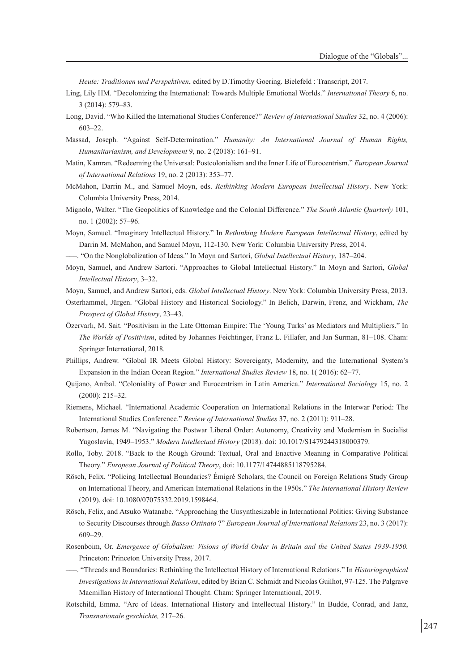*Heute: Traditionen und Perspektiven*, edited by D.Timothy Goering. Bielefeld : Transcript, 2017.

- Ling, Lily HM. "Decolonizing the International: Towards Multiple Emotional Worlds." *International Theory* 6, no. 3 (2014): 579–83.
- Long, David. "Who Killed the International Studies Conference?" *Review of International Studies* 32, no. 4 (2006): 603–22.
- Massad, Joseph. "Against Self-Determination." *Humanity: An International Journal of Human Rights, Humanitarianism, and Development* 9, no. 2 (2018): 161–91.
- Matin, Kamran. "Redeeming the Universal: Postcolonialism and the Inner Life of Eurocentrism." *European Journal of International Relations* 19, no. 2 (2013): 353–77.
- McMahon, Darrin M., and Samuel Moyn, eds. *Rethinking Modern European Intellectual History*. New York: Columbia University Press, 2014.
- Mignolo, Walter. "The Geopolitics of Knowledge and the Colonial Difference." *The South Atlantic Quarterly* 101, no. 1 (2002): 57–96.
- Moyn, Samuel. "Imaginary Intellectual History." In *Rethinking Modern European Intellectual History*, edited by Darrin M. McMahon, and Samuel Moyn, 112-130. New York: Columbia University Press, 2014.
- –––. "On the Nonglobalization of Ideas." In Moyn and Sartori, *Global Intellectual History*, 187–204.
- Moyn, Samuel, and Andrew Sartori. "Approaches to Global Intellectual History." In Moyn and Sartori, *Global Intellectual History*, 3–32.

Moyn, Samuel, and Andrew Sartori, eds. *Global Intellectual History*. New York: Columbia University Press, 2013.

- Osterhammel, Jürgen. "Global History and Historical Sociology." In Belich, Darwin, Frenz, and Wickham, *The Prospect of Global History*, 23–43.
- Özervarlı, M. Sait. "Positivism in the Late Ottoman Empire: The 'Young Turks' as Mediators and Multipliers." In *The Worlds of Positivism*, edited by Johannes Feichtinger, Franz L. Fillafer, and Jan Surman, 81–108. Cham: Springer International, 2018.
- Phillips, Andrew. "Global IR Meets Global History: Sovereignty, Modernity, and the International System's Expansion in the Indian Ocean Region." *International Studies Review* 18, no. 1( 2016): 62–77.
- Quijano, Anibal. "Coloniality of Power and Eurocentrism in Latin America." *International Sociology* 15, no. 2 (2000): 215–32.
- Riemens, Michael. "International Academic Cooperation on International Relations in the Interwar Period: The International Studies Conference." *Review of International Studies* 37, no. 2 (2011): 911–28.
- Robertson, James M. "Navigating the Postwar Liberal Order: Autonomy, Creativity and Modernism in Socialist Yugoslavia, 1949–1953." *Modern Intellectual History* (2018). doi: 10.1017/S1479244318000379.
- Rollo, Toby. 2018. "Back to the Rough Ground: Textual, Oral and Enactive Meaning in Comparative Political Theory." *European Journal of Political Theory*, doi: 10.1177/14744885118795284.
- Rösch, Felix. "Policing Intellectual Boundaries? Émigré Scholars, the Council on Foreign Relations Study Group on International Theory, and American International Relations in the 1950s." *The International History Review* (2019). doi: 10.1080/07075332.2019.1598464.
- Rösch, Felix, and Atsuko Watanabe. "Approaching the Unsynthesizable in International Politics: Giving Substance to Security Discourses through *Basso Ostinato* ?" *European Journal of International Relations* 23, no. 3 (2017): 609–29.
- Rosenboim, Or. *Emergence of Globalism: Visions of World Order in Britain and the United States 1939-1950.* Princeton: Princeton University Press, 2017.
- –––. "Threads and Boundaries: Rethinking the Intellectual History of International Relations." In *Historiographical Investigations in International Relations*, edited by Brian C. Schmidt and Nicolas Guilhot, 97-125. The Palgrave Macmillan History of International Thought. Cham: Springer International, 2019.
- Rotschild, Emma. "Arc of Ideas. International History and Intellectual History." In Budde, Conrad, and Janz, *Transnationale geschichte,* 217–26.